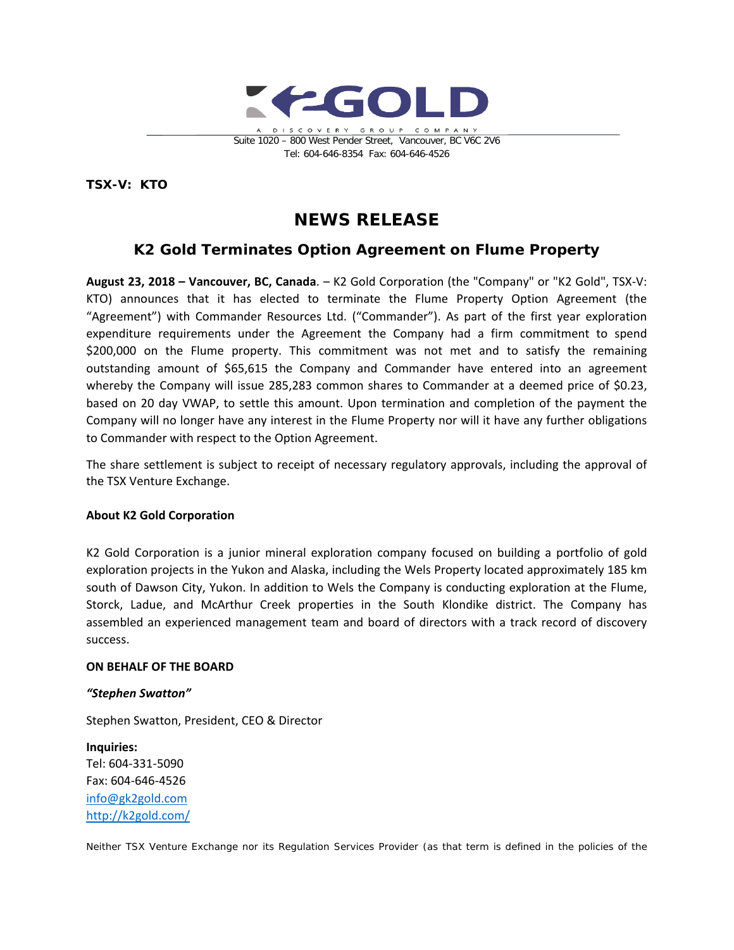

**TSX-V: KTO**

# **NEWS RELEASE**

# **K2 Gold Terminates Option Agreement on Flume Property**

**August 23, 2018 – Vancouver, BC, Canada**. – K2 Gold Corporation (the "Company" or "K2 Gold", TSX-V: KTO) announces that it has elected to terminate the Flume Property Option Agreement (the "Agreement") with Commander Resources Ltd. ("Commander"). As part of the first year exploration expenditure requirements under the Agreement the Company had a firm commitment to spend \$200,000 on the Flume property. This commitment was not met and to satisfy the remaining outstanding amount of \$65,615 the Company and Commander have entered into an agreement whereby the Company will issue 285,283 common shares to Commander at a deemed price of \$0.23, based on 20 day VWAP, to settle this amount. Upon termination and completion of the payment the Company will no longer have any interest in the Flume Property nor will it have any further obligations to Commander with respect to the Option Agreement.

The share settlement is subject to receipt of necessary regulatory approvals, including the approval of the TSX Venture Exchange.

## **About K2 Gold Corporation**

K2 Gold Corporation is a junior mineral exploration company focused on building a portfolio of gold exploration projects in the Yukon and Alaska, including the Wels Property located approximately 185 km south of Dawson City, Yukon. In addition to Wels the Company is conducting exploration at the Flume, Storck, Ladue, and McArthur Creek properties in the South Klondike district. The Company has assembled an experienced management team and board of directors with a track record of discovery success.

### **ON BEHALF OF THE BOARD**

### *"Stephen Swatton"*

Stephen Swatton, President, CEO & Director

**Inquiries:** Tel: 604-331-5090 Fax: 604-646-4526 info@gk2gold.com <http://k2gold.com/>

*Neither TSX Venture Exchange nor its Regulation Services Provider (as that term is defined in the policies of the*